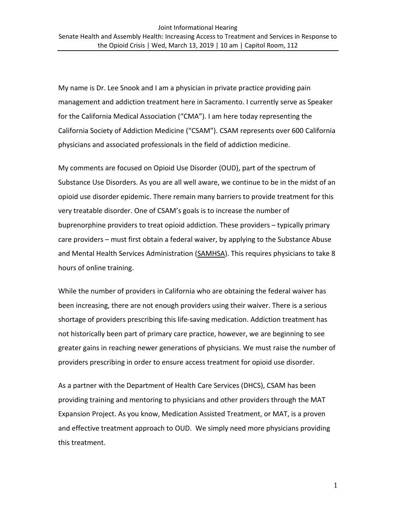My name is Dr. Lee Snook and I am a physician in private practice providing pain management and addiction treatment here in Sacramento. I currently serve as Speaker for the California Medical Association ("CMA"). I am here today representing the California Society of Addiction Medicine ("CSAM"). CSAM represents over 600 California physicians and associated professionals in the field of addiction medicine.

My comments are focused on Opioid Use Disorder (OUD), part of the spectrum of Substance Use Disorders. As you are all well aware, we continue to be in the midst of an opioid use disorder epidemic. There remain many barriers to provide treatment for this very treatable disorder. One of CSAM's goals is to increase the number of buprenorphine providers to treat opioid addiction. These providers – typically primary care providers – must first obtain a federal waiver, by applying to the Substance Abuse and Mental Health Services Administration [\(SAMHSA\)](https://www.samhsa.gov/medication-assisted-treatment/buprenorphine-waiver-management/apply-for-physician-waiver). This requires physicians to take 8 hours of online training.

While the number of providers in California who are obtaining the federal waiver has been increasing, there are not enough providers using their waiver. There is a serious shortage of providers prescribing this life-saving medication. Addiction treatment has not historically been part of primary care practice, however, we are beginning to see greater gains in reaching newer generations of physicians. We must raise the number of providers prescribing in order to ensure access treatment for opioid use disorder.

As a partner with the Department of Health Care Services (DHCS), CSAM has been providing training and mentoring to physicians and other providers through the MAT Expansion Project. As you know, Medication Assisted Treatment, or MAT, is a proven and effective treatment approach to OUD. We simply need more physicians providing this treatment.

1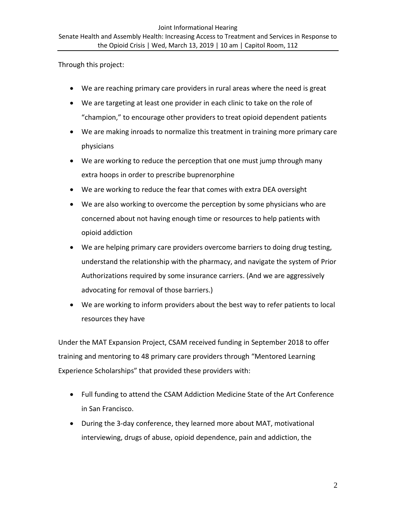Through this project:

- We are reaching primary care providers in rural areas where the need is great
- We are targeting at least one provider in each clinic to take on the role of "champion," to encourage other providers to treat opioid dependent patients
- We are making inroads to normalize this treatment in training more primary care physicians
- We are working to reduce the perception that one must jump through many extra hoops in order to prescribe buprenorphine
- We are working to reduce the fear that comes with extra DEA oversight
- We are also working to overcome the perception by some physicians who are concerned about not having enough time or resources to help patients with opioid addiction
- We are helping primary care providers overcome barriers to doing drug testing, understand the relationship with the pharmacy, and navigate the system of Prior Authorizations required by some insurance carriers. (And we are aggressively advocating for removal of those barriers.)
- We are working to inform providers about the best way to refer patients to local resources they have

Under the MAT Expansion Project, CSAM received funding in September 2018 to offer training and mentoring to 48 primary care providers through "Mentored Learning Experience Scholarships" that provided these providers with:

- Full funding to attend the CSAM Addiction Medicine State of the Art Conference in San Francisco.
- During the 3-day conference, they learned more about MAT, motivational interviewing, drugs of abuse, opioid dependence, pain and addiction, the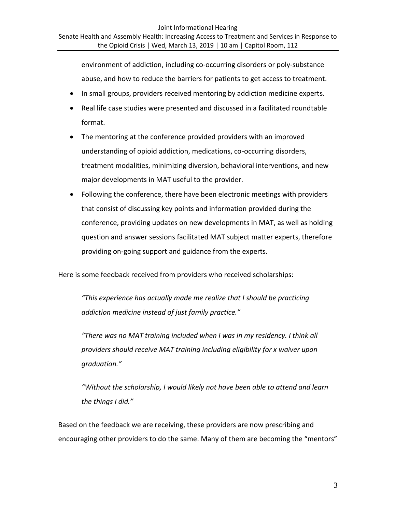environment of addiction, including co-occurring disorders or poly-substance abuse, and how to reduce the barriers for patients to get access to treatment.

- In small groups, providers received mentoring by addiction medicine experts.
- Real life case studies were presented and discussed in a facilitated roundtable format.
- The mentoring at the conference provided providers with an improved understanding of opioid addiction, medications, co-occurring disorders, treatment modalities, minimizing diversion, behavioral interventions, and new major developments in MAT useful to the provider.
- Following the conference, there have been electronic meetings with providers that consist of discussing key points and information provided during the conference, providing updates on new developments in MAT, as well as holding question and answer sessions facilitated MAT subject matter experts, therefore providing on-going support and guidance from the experts.

Here is some feedback received from providers who received scholarships:

*"This experience has actually made me realize that I should be practicing addiction medicine instead of just family practice."*

*"There was no MAT training included when I was in my residency. I think all providers should receive MAT training including eligibility for x waiver upon graduation."*

*"Without the scholarship, I would likely not have been able to attend and learn the things I did."*

Based on the feedback we are receiving, these providers are now prescribing and encouraging other providers to do the same. Many of them are becoming the "mentors"